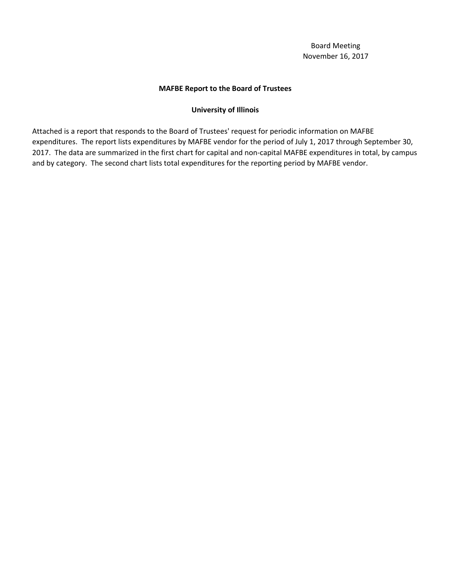# **MAFBE Report to the Board of Trustees**

## **University of Illinois**

Attached is a report that responds to the Board of Trustees' request for periodic information on MAFBE expenditures. The report lists expenditures by MAFBE vendor for the period of July 1, 2017 through September 30, 2017. The data are summarized in the first chart for capital and non-capital MAFBE expenditures in total, by campus and by category. The second chart lists total expenditures for the reporting period by MAFBE vendor.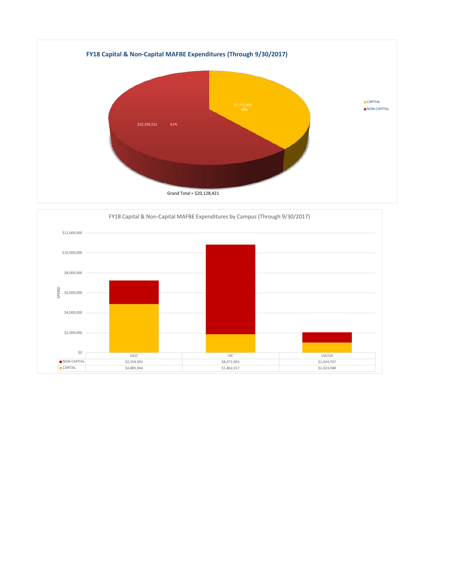

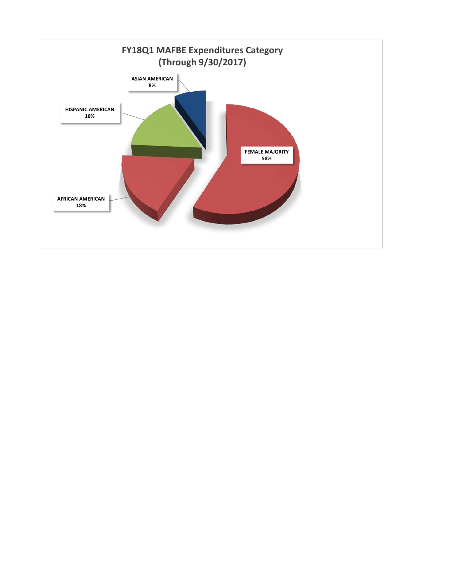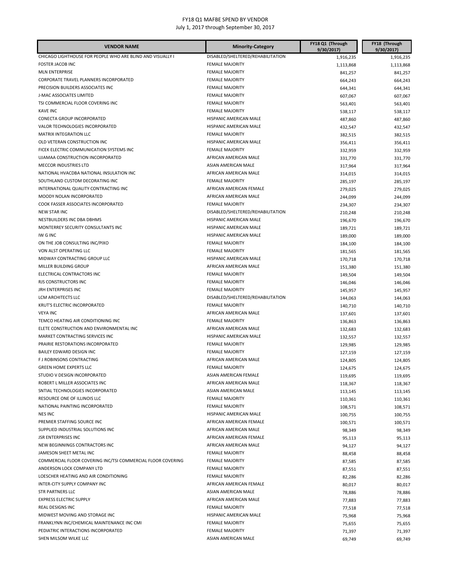| <b>VENDOR NAME</b>                                                           | <b>Minority-Category</b>                         | FY18 Q1 (Through<br>9/30/2017) | FY18 (Through<br>9/30/2017) |
|------------------------------------------------------------------------------|--------------------------------------------------|--------------------------------|-----------------------------|
| CHICAGO LIGHTHOUSE FOR PEOPLE WHO ARE BLIND AND VISUALLY I                   | DISABLED/SHELTERED/REHABILITATION                | 1,916,235                      | 1,916,235                   |
| <b>FOSTER JACOB INC</b>                                                      | <b>FEMALE MAJORITY</b>                           | 1,113,868                      | 1,113,868                   |
| <b>MLN ENTERPRISE</b>                                                        | <b>FEMALE MAJORITY</b>                           | 841,257                        | 841,257                     |
| CORPORATE TRAVEL PLANNERS INCORPORATED                                       | <b>FEMALE MAJORITY</b>                           | 664,243                        | 664,243                     |
| PRECISION BUILDERS ASSOCIATES INC                                            | <b>FEMALE MAJORITY</b>                           | 644,341                        | 644,341                     |
| J-MAC ASSOCIATES LIMITED                                                     | <b>FEMALE MAJORITY</b>                           | 607,067                        | 607,067                     |
| TSI COMMERCIAL FLOOR COVERING INC                                            | <b>FEMALE MAJORITY</b>                           | 563,401                        | 563,401                     |
| <b>KAVE INC</b>                                                              | <b>FEMALE MAJORITY</b>                           | 538,117                        | 538,117                     |
| CONECTA GROUP INCORPORATED                                                   | HISPANIC AMERICAN MALE                           | 487,860                        | 487,860                     |
| <b>VALOR TECHNOLOGIES INCORPORATED</b>                                       | HISPANIC AMERICAN MALE                           | 432,547                        | 432,547                     |
| <b>MATRIX INTEGRATION LLC</b>                                                | <b>FEMALE MAJORITY</b>                           | 382,515                        | 382,515                     |
| OLD VETERAN CONSTRUCTION INC                                                 | HISPANIC AMERICAN MALE                           | 356,411                        | 356,411                     |
| FICEK ELECTRIC COMMUNICATION SYSTEMS INC                                     | <b>FEMALE MAJORITY</b>                           | 332,959                        | 332,959                     |
| UJAMAA CONSTRUCTION INCORPORATED                                             | AFRICAN AMERICAN MALE                            | 331,770                        | 331,770                     |
| MECCOR INDUSTRIES LTD                                                        | ASIAN AMERICAN MALE                              | 317,964                        | 317,964                     |
| NATIONAL HVACDBA NATIONAL INSULATION INC                                     | AFRICAN AMERICAN MALE                            | 314,015                        | 314,015                     |
| SOUTHLAND CUSTOM DECORATING INC                                              | <b>FEMALE MAJORITY</b>                           | 285,197                        | 285,197                     |
| INTERNATIONAL QUALITY CONTRACTING INC                                        | AFRICAN AMERICAN FEMALE                          | 279,025                        | 279,025                     |
| MOODY NOLAN INCORPORATED                                                     | AFRICAN AMERICAN MALE                            | 244,099                        | 244,099                     |
| COOK FASSER ASSOCIATES INCORPORATED                                          | <b>FEMALE MAJORITY</b>                           | 234,307                        | 234,307                     |
| <b>NEW STAR INC</b>                                                          | DISABLED/SHELTERED/REHABILITATION                | 210,248                        | 210,248                     |
| NESTBUILDERS INC DBA DBHMS                                                   | HISPANIC AMERICAN MALE                           | 196,670                        | 196,670                     |
| MONTERREY SECURITY CONSULTANTS INC                                           | HISPANIC AMERICAN MALE                           | 189,721                        | 189,721                     |
| IW G INC                                                                     | HISPANIC AMERICAN MALE                           | 189,000                        | 189,000                     |
| ON THE JOB CONSULTING INC/PIXO                                               | <b>FEMALE MAJORITY</b>                           | 184,100                        | 184,100                     |
| VON ALST OPERATING LLC                                                       | <b>FEMALE MAJORITY</b>                           | 181,565                        | 181,565                     |
| MIDWAY CONTRACTING GROUP LLC                                                 | HISPANIC AMERICAN MALE                           | 170,718                        | 170,718                     |
| MILLER BUILDING GROUP                                                        | AFRICAN AMERICAN MALE                            | 151,380                        | 151,380                     |
| ELECTRICAL CONTRACTORS INC                                                   | <b>FEMALE MAJORITY</b>                           | 149,504                        | 149,504                     |
| RJS CONSTRUCTORS INC                                                         | <b>FEMALE MAJORITY</b>                           | 146,046                        | 146,046                     |
| JRH ENTERPRISES INC                                                          | <b>FEMALE MAJORITY</b>                           | 145,957                        | 145,957                     |
| LCM ARCHITECTS LLC                                                           | DISABLED/SHELTERED/REHABILITATION                | 144,063                        | 144,063                     |
| KRUT'S ELECTRIC INCORPORATED                                                 | <b>FEMALE MAJORITY</b>                           | 140,710                        | 140,710                     |
| <b>VEYA INC</b>                                                              | AFRICAN AMERICAN MALE                            | 137,601                        | 137,601                     |
| TEMCO HEATING AIR CONDITIONING INC                                           | <b>FEMALE MAJORITY</b>                           | 136,863                        |                             |
| ELETE CONSTRUCTION AND ENVIRONMENTAL INC                                     | AFRICAN AMERICAN MALE                            | 132,683                        | 136,863<br>132,683          |
| MARKET CONTRACTING SERVICES INC                                              | HISPANIC AMERICAN MALE                           | 132,557                        | 132,557                     |
| PRAIRIE RESTORATIONS INCORPORATED                                            | <b>FEMALE MAJORITY</b>                           | 129,985                        | 129,985                     |
| BAILEY EDWARD DESIGN INC                                                     | <b>FEMALE MAJORITY</b>                           | 127,159                        | 127,159                     |
| F J ROBINSONS CONTRACTING                                                    | AFRICAN AMERICAN MALE                            |                                |                             |
| <b>GREEN HOME EXPERTS LLC</b>                                                | <b>FEMALE MAJORITY</b>                           | 124,805                        | 124,805                     |
| STUDIO V DESIGN INCORPORATED                                                 | ASIAN AMERICAN FEMALE                            | 124,675<br>119,695             | 124,675                     |
| ROBERT L MILLER ASSOCIATES INC                                               | AFRICAN AMERICAN MALE                            |                                | 119,695                     |
| SNTIAL TECHNOLOGIES INCORPORATED                                             | ASIAN AMERICAN MALE                              | 118,367                        | 118,367                     |
| RESOURCE ONE OF ILLINOIS LLC                                                 | <b>FEMALE MAJORITY</b>                           | 113,145                        | 113,145                     |
| NATIONAL PAINTING INCORPORATED                                               | <b>FEMALE MAJORITY</b>                           | 110,361                        | 110,361<br>108,571          |
| <b>NES INC</b>                                                               | HISPANIC AMERICAN MALE                           | 108,571                        |                             |
| PREMIER STAFFING SOURCE INC                                                  | AFRICAN AMERICAN FEMALE                          | 100,755                        | 100,755<br>100,571          |
| SUPPLIED INDUSTRIAL SOLUTIONS INC                                            | AFRICAN AMERICAN MALE                            | 100,571                        | 98,349                      |
| <b>JSR ENTERPRISES INC</b>                                                   | AFRICAN AMERICAN FEMALE                          | 98,349                         |                             |
| NEW BEGINNINGS CONTRACTORS INC                                               | AFRICAN AMERICAN MALE                            | 95,113                         | 95,113                      |
| JAMESON SHEET METAL INC                                                      | <b>FEMALE MAJORITY</b>                           | 94,127                         | 94,127                      |
| COMMERCIAL FLOOR COVERING INC/TSI COMMERCIAL FLOOR COVERING                  | <b>FEMALE MAJORITY</b>                           | 88,458                         | 88,458                      |
| ANDERSON LOCK COMPANY LTD                                                    | <b>FEMALE MAJORITY</b>                           | 87,585                         | 87,585                      |
| LOESCHER HEATING AND AIR CONDITIONING                                        | <b>FEMALE MAJORITY</b>                           | 87,551                         | 87,551                      |
|                                                                              |                                                  | 82,286                         | 82,286                      |
| INTER-CITY SUPPLY COMPANY INC<br><b>STR PARTNERS LLC</b>                     | AFRICAN AMERICAN FEMALE<br>ASIAN AMERICAN MALE   | 80,017                         | 80,017                      |
| <b>EXPRESS ELECTRIC SUPPLY</b>                                               | AFRICAN AMERICAN MALE                            | 78,886                         | 78,886                      |
| <b>REAL DESIGNS INC</b>                                                      | <b>FEMALE MAJORITY</b>                           | 77,883                         | 77,883                      |
|                                                                              |                                                  | 77,518                         | 77,518                      |
| MIDWEST MOVING AND STORAGE INC<br>FRANKLYNN INC/CHEMICAL MAINTENANCE INC CMI | HISPANIC AMERICAN MALE<br><b>FEMALE MAJORITY</b> | 75,968                         | 75,968                      |
|                                                                              |                                                  | 75,655                         | 75,655                      |
| PEDIATRIC INTERACTIONS INCORPORATED<br>SHEN MILSOM WILKE LLC                 | <b>FEMALE MAJORITY</b><br>ASIAN AMERICAN MALE    | 71,397                         | 71,397                      |
|                                                                              |                                                  | 69,749                         | 69,749                      |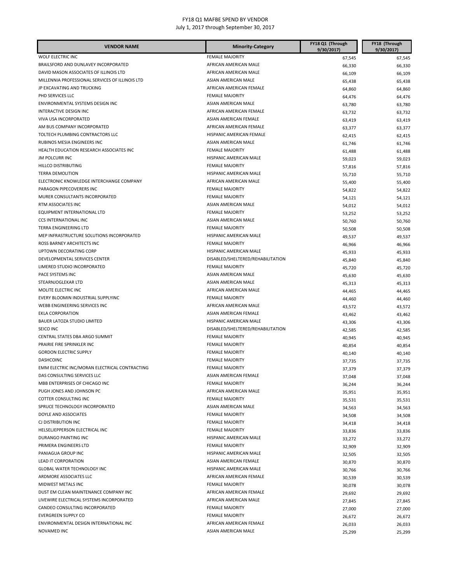| <b>VENDOR NAME</b>                              | <b>Minority-Category</b>          | FY18 Q1 (Through<br>9/30/2017) | FY18 (Through<br>9/30/2017) |
|-------------------------------------------------|-----------------------------------|--------------------------------|-----------------------------|
| WOLF ELECTRIC INC                               | <b>FEMALE MAJORITY</b>            | 67,545                         | 67,545                      |
| BRAILSFORD AND DUNLAVEY INCORPORATED            | AFRICAN AMERICAN MALE             | 66,330                         | 66,330                      |
| DAVID MASON ASSOCIATES OF ILLINOIS LTD          | AFRICAN AMERICAN MALE             | 66,109                         | 66,109                      |
| MILLENNIA PROFESSIONAL SERVICES OF ILLINOIS LTD | ASIAN AMERICAN MALE               | 65,438                         | 65,438                      |
| JP EXCAVATING AND TRUCKING                      | AFRICAN AMERICAN FEMALE           | 64,860                         | 64,860                      |
| PHD SERVICES LLC                                | <b>FEMALE MAJORITY</b>            | 64,476                         | 64,476                      |
| ENVIRONMENTAL SYSTEMS DESIGN INC                | ASIAN AMERICAN MALE               | 63,780                         | 63,780                      |
| INTERACTIVE DESIGN INC                          | AFRICAN AMERICAN FEMALE           | 63,732                         | 63,732                      |
| VIVA USA INCORPORATED                           | ASIAN AMERICAN FEMALE             | 63,419                         | 63,419                      |
| AM BUS COMPANY INCORPORATED                     | AFRICAN AMERICAN FEMALE           | 63,377                         | 63,377                      |
| TOLTECH PLUMBING CONTRACTORS LLC                | HISPANIC AMERICAN FEMALE          | 62,415                         | 62,415                      |
| RUBINOS MESIA ENGINEERS INC                     | ASIAN AMERICAN MALE               | 61,746                         | 61,746                      |
| HEALTH EDUCATION RESEARCH ASSOCIATES INC        | <b>FEMALE MAJORITY</b>            | 61,488                         | 61,488                      |
| <b>JM POLCURR INC</b>                           | HISPANIC AMERICAN MALE            | 59,023                         | 59,023                      |
| HILLCO DISTRIBUTING                             | <b>FEMALE MAJORITY</b>            | 57,816                         | 57,816                      |
| <b>TERRA DEMOLITION</b>                         | HISPANIC AMERICAN MALE            | 55,710                         | 55,710                      |
| ELECTRONIC KNOWLEDGE INTERCHANGE COMPANY        | AFRICAN AMERICAN MALE             | 55,400                         | 55,400                      |
| PARAGON PIPECOVERERS INC                        | <b>FEMALE MAJORITY</b>            | 54,822                         | 54,822                      |
| MURER CONSULTANTS INCORPORATED                  | <b>FEMALE MAJORITY</b>            | 54,121                         | 54,121                      |
| RTM ASSOCIATES INC                              | ASIAN AMERICAN MALE               | 54,012                         | 54,012                      |
| EQUIPMENT INTERNATIONAL LTD                     | <b>FEMALE MAJORITY</b>            | 53,252                         | 53,252                      |
| CCS INTERNATIONAL INC                           | ASIAN AMERICAN MALE               | 50,760                         | 50,760                      |
| TERRA ENGINEERING LTD                           | <b>FEMALE MAJORITY</b>            | 50,508                         | 50,508                      |
| MEP INFRASTRUCTURE SOLUTIONS INCORPORATED       | HISPANIC AMERICAN MALE            | 49,537                         | 49,537                      |
| ROSS BARNEY ARCHITECTS INC                      | <b>FEMALE MAJORITY</b>            | 46,966                         | 46,966                      |
| <b>UPTOWN DECORATING CORP</b>                   | HISPANIC AMERICAN MALE            | 45,933                         | 45,933                      |
| DEVELOPMENTAL SERVICES CENTER                   | DISABLED/SHELTERED/REHABILITATION | 45,840                         | 45,840                      |
| LIMERED STUDIO INCORPORATED                     | <b>FEMALE MAJORITY</b>            | 45,720                         | 45,720                      |
| PACE SYSTEMS INC                                | ASIAN AMERICAN MALE               | 45,630                         | 45,630                      |
| STEARNJOGLEKAR LTD                              | ASIAN AMERICAN MALE               | 45,313                         | 45,313                      |
| MOLITE ELECTRIC INC                             | AFRICAN AMERICAN MALE             | 44,465                         | 44,465                      |
| EVERY BLOOMIN INDUSTRIAL SUPPLYINC              | <b>FEMALE MAJORITY</b>            | 44,460                         | 44,460                      |
| WEBB ENGINEERING SERVICES INC                   | AFRICAN AMERICAN MALE             | 43,572                         | 43,572                      |
| <b>EKLA CORPORATION</b>                         | ASIAN AMERICAN FEMALE             | 43,462                         | 43,462                      |
| BAUER LATOZA STUDIO LIMITED                     | HISPANIC AMERICAN MALE            | 43,306                         | 43,306                      |
| SEICO INC                                       | DISABLED/SHELTERED/REHABILITATION | 42,585                         | 42,585                      |
| CENTRAL STATES DBA ARGO SUMMIT                  | <b>FEMALE MAJORITY</b>            | 40,945                         | 40,945                      |
| PRAIRIE FIRE SPRINKLER INC                      | <b>FEMALE MAJORITY</b>            | 40,854                         | 40,854                      |
| <b>GORDON ELECTRIC SUPPLY</b>                   | <b>FEMALE MAJORITY</b>            | 40,140                         | 40,140                      |
| <b>DASHCOINC</b>                                | <b>FEMALE MAJORITY</b>            | 37,735                         | 37,735                      |
| EMM ELECTRIC INC/MORAN ELECTRICAL CONTRACTING   | <b>FEMALE MAJORITY</b>            | 37,379                         | 37,379                      |
| DAS CONSULTING SERVICES LLC                     | ASIAN AMERICAN FEMALE             | 37,048                         | 37,048                      |
| MBB ENTERPRISES OF CHICAGO INC                  | <b>FEMALE MAJORITY</b>            | 36,244                         | 36,244                      |
| PUGH JONES AND JOHNSON PC                       | AFRICAN AMERICAN MALE             | 35,951                         | 35,951                      |
| COTTER CONSULTING INC                           | <b>FEMALE MAJORITY</b>            | 35,531                         | 35,531                      |
| SPRUCE TECHNOLOGY INCORPORATED                  | ASIAN AMERICAN MALE               | 34,563                         | 34,563                      |
| DOYLE AND ASSOCIATES                            | <b>FEMALE MAJORITY</b>            | 34,508                         | 34,508                      |
| CJ DISTRIBUTION INC                             | <b>FEMALE MAJORITY</b>            | 34,418                         | 34,418                      |
| HELSELJEPPERSON ELECTRICAL INC                  | <b>FEMALE MAJORITY</b>            | 33,836                         | 33,836                      |
| DURANGO PAINTING INC                            | HISPANIC AMERICAN MALE            | 33,272                         | 33,272                      |
| PRIMERA ENGINEERS LTD                           | <b>FEMALE MAJORITY</b>            | 32,909                         | 32,909                      |
| PANIAGUA GROUP INC                              | HISPANIC AMERICAN MALE            | 32,505                         | 32,505                      |
| LEAD IT CORPORATION                             | ASIAN AMERICAN FEMALE             | 30,870                         | 30,870                      |
| GLOBAL WATER TECHNOLOGY INC                     | HISPANIC AMERICAN MALE            | 30,766                         | 30,766                      |
| ARDMORE ASSOCIATES LLC                          | AFRICAN AMERICAN FEMALE           | 30,539                         | 30,539                      |
| MIDWEST METALS INC                              | <b>FEMALE MAJORITY</b>            | 30,078                         | 30,078                      |
| DUST EM CLEAN MAINTENANCE COMPANY INC           | AFRICAN AMERICAN FEMALE           | 29,692                         | 29,692                      |
| LIVEWIRE ELECTRICAL SYSTEMS INCORPORATED        | AFRICAN AMERICAN MALE             | 27,845                         | 27,845                      |
| CANDEO CONSULTING INCORPORATED                  | <b>FEMALE MAJORITY</b>            | 27,000                         | 27,000                      |
| <b>EVERGREEN SUPPLY CO</b>                      | <b>FEMALE MAJORITY</b>            | 26,672                         | 26,672                      |
| ENVIRONMENTAL DESIGN INTERNATIONAL INC          | AFRICAN AMERICAN FEMALE           | 26,033                         | 26,033                      |
| NOVAMED INC                                     | ASIAN AMERICAN MALE               | 25,299                         | 25,299                      |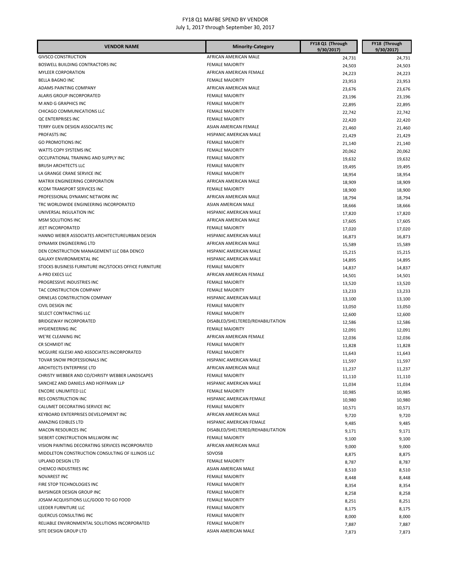| <b>VENDOR NAME</b>                                                                     | <b>Minority-Category</b>                         | FY18 Q1 (Through<br>9/30/2017) | FY18 (Through<br>9/30/2017) |
|----------------------------------------------------------------------------------------|--------------------------------------------------|--------------------------------|-----------------------------|
| <b>GIVSCO CONSTRUCTION</b>                                                             | AFRICAN AMERICAN MALE                            | 24,731                         | 24,731                      |
| BOSWELL BUILDING CONTRACTORS INC                                                       | <b>FEMALE MAJORITY</b>                           | 24,503                         | 24,503                      |
| <b>MYLEER CORPORATION</b>                                                              | AFRICAN AMERICAN FEMALE                          | 24,223                         | 24,223                      |
| <b>BELLA BAGNO INC</b>                                                                 | <b>FEMALE MAJORITY</b>                           | 23,953                         | 23,953                      |
| ADAMS PAINTING COMPANY                                                                 | AFRICAN AMERICAN MALE                            | 23,676                         | 23,676                      |
| ALARIS GROUP INCORPORATED                                                              | <b>FEMALE MAJORITY</b>                           | 23,196                         | 23,196                      |
| M AND G GRAPHICS INC                                                                   | <b>FEMALE MAJORITY</b>                           | 22,895                         | 22,895                      |
| CHICAGO COMMUNICATIONS LLC                                                             | <b>FEMALE MAJORITY</b>                           | 22,742                         | 22,742                      |
| QC ENTERPRISES INC                                                                     | <b>FEMALE MAJORITY</b>                           | 22,420                         | 22,420                      |
| TERRY GUEN DESIGN ASSOCIATES INC                                                       | ASIAN AMERICAN FEMALE                            | 21,460                         | 21,460                      |
| PROFASTS INC                                                                           | HISPANIC AMERICAN MALE                           | 21,429                         | 21,429                      |
| <b>GO PROMOTIONS INC</b>                                                               | <b>FEMALE MAJORITY</b>                           | 21,140                         | 21,140                      |
| WATTS COPY SYSTEMS INC                                                                 | <b>FEMALE MAJORITY</b>                           | 20,062                         | 20,062                      |
| OCCUPATIONAL TRAINING AND SUPPLY INC                                                   | <b>FEMALE MAJORITY</b>                           | 19,632                         | 19,632                      |
| <b>BRUSH ARCHITECTS LLC</b>                                                            | <b>FEMALE MAJORITY</b>                           | 19,495                         | 19,495                      |
| LA GRANGE CRANE SERVICE INC                                                            | <b>FEMALE MAJORITY</b>                           | 18,954                         | 18,954                      |
| MATRIX ENGINEERING CORPORATION                                                         | AFRICAN AMERICAN MALE                            | 18,909                         | 18,909                      |
| KCOM TRANSPORT SERVICES INC                                                            | <b>FEMALE MAJORITY</b>                           | 18,900                         | 18,900                      |
| PROFESSIONAL DYNAMIC NETWORK INC                                                       | AFRICAN AMERICAN MALE                            | 18,794                         | 18,794                      |
| TRC WORLDWIDE ENGINEERING INCORPORATED                                                 | ASIAN AMERICAN MALE                              | 18,666                         | 18,666                      |
| UNIVERSAL INSULATION INC                                                               | HISPANIC AMERICAN MALE                           | 17,820                         | 17,820                      |
| MSM SOLUTIONS INC                                                                      | AFRICAN AMERICAN MALE                            | 17,605                         | 17,605                      |
| JEET INCORPORATED                                                                      | <b>FEMALE MAJORITY</b>                           | 17,020                         | 17,020                      |
| HANNO WEBER ASSOCIATES ARCHITECTUREURBAN DESIGN                                        | HISPANIC AMERICAN MALE                           | 16,873                         | 16,873                      |
| DYNAMIX ENGINEERING LTD                                                                | AFRICAN AMERICAN MALE                            | 15,589                         | 15,589                      |
| DEN CONSTRUCTION MANAGEMENT LLC DBA DENCO                                              | HISPANIC AMERICAN MALE                           | 15,215                         | 15,215                      |
| <b>GALAXY ENVIRONMENTAL INC</b>                                                        | HISPANIC AMERICAN MALE                           | 14,895                         | 14,895                      |
| STOCKS BUSINESS FURNITURE INC/STOCKS OFFICE FURNITURE                                  | <b>FEMALE MAJORITY</b>                           | 14,837                         | 14,837                      |
| A-PRO EXECS LLC                                                                        | AFRICAN AMERICAN FEMALE                          | 14,501                         | 14,501                      |
| PROGRESSIVE INDUSTRIES INC                                                             | <b>FEMALE MAJORITY</b>                           | 13,520                         | 13,520                      |
| TAC CONSTRUCTION COMPANY                                                               | <b>FEMALE MAJORITY</b>                           | 13,233                         | 13,233                      |
| ORNELAS CONSTRUCTION COMPANY                                                           | HISPANIC AMERICAN MALE                           | 13,100                         | 13,100                      |
| <b>CIVIL DESIGN INC</b>                                                                | <b>FEMALE MAJORITY</b>                           | 13,050                         | 13,050                      |
| SELECT CONTRACTING LLC                                                                 | <b>FEMALE MAJORITY</b>                           | 12,600                         | 12,600                      |
| <b>BRIDGEWAY INCORPORATED</b>                                                          | DISABLED/SHELTERED/REHABILITATION                | 12,586                         | 12,586                      |
| <b>HYGIENEERING INC</b>                                                                | <b>FEMALE MAJORITY</b>                           | 12,091                         | 12,091                      |
| WE'RE CLEANING INC                                                                     | AFRICAN AMERICAN FEMALE                          | 12,036                         | 12,036                      |
| CR SCHMIDT INC<br>MCGUIRE IGLESKI AND ASSOCIATES INCORPORATED                          | <b>FEMALE MAJORITY</b><br><b>FEMALE MAJORITY</b> | 11,828                         | 11,828                      |
|                                                                                        |                                                  | 11,643                         | 11,643                      |
| TOVAR SNOW PROFESSIONALS INC                                                           | HISPANIC AMERICAN MALE                           | 11,597                         | 11,597                      |
| ARCHITECTS ENTERPRISE LTD                                                              | AFRICAN AMERICAN MALE                            | 11,237                         | 11,237                      |
| CHRISTY WEBBER AND CO/CHRISTY WEBBER LANDSCAPES<br>SANCHEZ AND DANIELS AND HOFFMAN LLP | <b>FEMALE MAJORITY</b><br>HISPANIC AMERICAN MALE | 11,110                         | 11,110                      |
| <b>ENCORE UNLIMITED LLC</b>                                                            | <b>FEMALE MAJORITY</b>                           | 11,034                         | 11,034                      |
| RES CONSTRUCTION INC                                                                   | HISPANIC AMERICAN FEMALE                         | 10,985                         | 10,985                      |
| CALUMET DECORATING SERVICE INC                                                         | <b>FEMALE MAJORITY</b>                           | 10,980                         | 10,980                      |
| KEYBOARD ENTERPRISES DEVELOPMENT INC                                                   | AFRICAN AMERICAN MALE                            | 10,571                         | 10,571                      |
| AMAZING EDIBLES LTD                                                                    | HISPANIC AMERICAN FEMALE                         | 9,720                          | 9,720                       |
| MACON RESOURCES INC                                                                    | DISABLED/SHELTERED/REHABILITATION                | 9,485                          | 9,485                       |
| SIEBERT CONSTRUCTION MILLWORK INC                                                      | <b>FEMALE MAJORITY</b>                           | 9,171                          | 9,171                       |
| VISION PAINTING DECORATING SERVICES INCORPORATED                                       | AFRICAN AMERICAN MALE                            | 9,100                          | 9,100                       |
| MIDDLETON CONSTRUCTION CONSULTING OF ILLINOIS LLC                                      | SDVOSB                                           | 9,000<br>8,875                 | 9,000<br>8,875              |
| UPLAND DESIGN LTD                                                                      | <b>FEMALE MAJORITY</b>                           |                                |                             |
| CHEMCO INDUSTRIES INC                                                                  | ASIAN AMERICAN MALE                              | 8,787<br>8,510                 | 8,787<br>8,510              |
| <b>NOVAREST INC</b>                                                                    | <b>FEMALE MAJORITY</b>                           |                                | 8,448                       |
| FIRE STOP TECHNOLOGIES INC                                                             | <b>FEMALE MAJORITY</b>                           | 8,448<br>8,354                 | 8,354                       |
| BAYSINGER DESIGN GROUP INC                                                             | <b>FEMALE MAJORITY</b>                           | 8,258                          | 8,258                       |
| JOSAM ACQUISITIONS LLC/GOOD TO GO FOOD                                                 | <b>FEMALE MAJORITY</b>                           | 8,251                          | 8,251                       |
| LEEDER FURNITURE LLC                                                                   | <b>FEMALE MAJORITY</b>                           | 8,175                          | 8,175                       |
| QUERCUS CONSULTING INC                                                                 | <b>FEMALE MAJORITY</b>                           | 8,000                          | 8,000                       |
| RELIABLE ENVIRONMENTAL SOLUTIONS INCORPORATED                                          | <b>FEMALE MAJORITY</b>                           | 7,887                          | 7,887                       |
| SITE DESIGN GROUP LTD                                                                  | ASIAN AMERICAN MALE                              | 7,873                          | 7,873                       |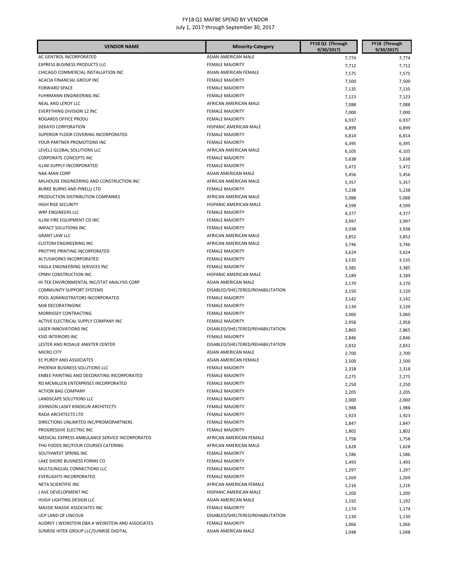| <b>VENDOR NAME</b>                                | <b>Minority-Category</b>          | FY18 Q1 (Through<br>9/30/2017) | FY18 (Through<br>9/30/2017) |
|---------------------------------------------------|-----------------------------------|--------------------------------|-----------------------------|
| AC GENTROL INCORPORATED                           | ASIAN AMERICAN MALE               | 7,774                          | 7,774                       |
| EXPRESS BUSINESS PRODUCTS LLC                     | <b>FEMALE MAJORITY</b>            | 7,712                          | 7,712                       |
| CHICAGO COMMERCIAL INSTALLATION INC               | ASIAN AMERICAN FEMALE             | 7,575                          | 7,575                       |
| ACACIA FINANCIAL GROUP INC                        | <b>FEMALE MAJORITY</b>            | 7,500                          | 7,500                       |
| <b>FORWARD SPACE</b>                              | <b>FEMALE MAJORITY</b>            | 7,135                          | 7,135                       |
| FUHRMANN ENGINEERING INC                          | <b>FEMALE MAJORITY</b>            | 7,123                          | 7,123                       |
| NEAL AND LEROY LLC                                | AFRICAN AMERICAN MALE             | 7,088                          | 7,088                       |
| EVERYTHING DIVISION 12 INC                        | <b>FEMALE MAJORITY</b>            | 7,000                          | 7,000                       |
| ROGARDS OFFICE PRODU                              | <b>FEMALE MAJORITY</b>            | 6,937                          | 6,937                       |
| <b>DEKAYO CORPORATION</b>                         | HISPANIC AMERICAN MALE            | 6,899                          | 6,899                       |
| SUPERIOR FLOOR COVERING INCORPORATED              | <b>FEMALE MAJORITY</b>            | 6,814                          | 6,814                       |
| YOUR PARTNER PROMOTIONS INC                       | <b>FEMALE MAJORITY</b>            | 6,395                          | 6,395                       |
| LEVEL1 GLOBAL SOLUTIONS LLC                       | AFRICAN AMERICAN MALE             | 6,105                          | 6,105                       |
| CORPORATE CONCEPTS INC                            | <b>FEMALE MAJORITY</b>            | 5,638                          | 5,638                       |
| ILLINI SUPPLY INCORPORATED                        | <b>FEMALE MAJORITY</b>            | 5,472                          | 5,472                       |
| <b>NAK-MAN CORP</b>                               | ASIAN AMERICAN MALE               | 5,456                          | 5,456                       |
| MILHOUSE ENGINEERING AND CONSTRUCTION INC         | AFRICAN AMERICAN MALE             | 5,357                          | 5,357                       |
| <b>BURKE BURNS AND PINELLI LTD</b>                | <b>FEMALE MAJORITY</b>            | 5,238                          | 5,238                       |
| PRODUCTION DISTRIBUTION COMPANIES                 | AFRICAN AMERICAN MALE             | 5,088                          | 5,088                       |
| <b>HIGH RISE SECURITY</b>                         | HISPANIC AMERICAN MALE            | 4,599                          | 4,599                       |
| WRF ENGINEERS LLC                                 | <b>FEMALE MAJORITY</b>            | 4,377                          | 4,377                       |
| ILLINI FIRE EQUIPMENT CO INC                      | <b>FEMALE MAJORITY</b>            | 3,997                          | 3,997                       |
| <b>IMPACT SOLUTIONS INC</b>                       | <b>FEMALE MAJORITY</b>            | 3,938                          | 3,938                       |
| <b>GRANT LAW LLC</b>                              | AFRICAN AMERICAN MALE             | 3,852                          | 3,852                       |
| <b>CUSTOM ENGINEERING INC</b>                     | AFRICAN AMERICAN MALE             | 3,746                          | 3,746                       |
| PROTYPE PRINTING INCORPORATED                     | <b>FEMALE MAJORITY</b>            | 3,624                          | 3,624                       |
| ALTUSWORKS INCORPORATED                           | <b>FEMALE MAJORITY</b>            | 3,535                          | 3,535                       |
| YAGLA ENGINEERING SERVICES INC                    | <b>FEMALE MAJORITY</b>            | 3,385                          | 3,385                       |
| CPMH CONSTRUCTION INC                             | HISPANIC AMERICAN MALE            | 3,189                          | 3,189                       |
| HI-TEK ENVIRONMENTAL INC/STAT ANALYSIS CORP       | ASIAN AMERICAN MALE               | 3,170                          | 3,170                       |
| <b>COMMUNITY SUPPORT SYSTEMS</b>                  | DISABLED/SHELTERED/REHABILITATION | 3,150                          | 3,150                       |
| POOL ADMINISTRATORS INCORPORATED                  | <b>FEMALE MAJORITY</b>            | 3,142                          | 3,142                       |
| MJB DECORATINGINC                                 | <b>FEMALE MAJORITY</b>            | 3,139                          | 3,139                       |
| MORRISSEY CONTRACTING                             | <b>FEMALE MAJORITY</b>            | 3,060                          | 3,060                       |
| ACTIVE ELECTRICAL SUPPLY COMPANY INC              | <b>FEMALE MAJORITY</b>            | 2,958                          | 2,958                       |
| LASER INNOVATIONS INC                             | DISABLED/SHELTERED/REHABILITATION | 2,865                          | 2,865                       |
| <b>KSID INTERIORS INC</b>                         | <b>FEMALE MAJORITY</b>            | 2,846                          | 2,846                       |
| LESTER AND ROSALIE ANIXTER CENTER                 | DISABLED/SHELTERED/REHABILITATION | 2,832                          | 2,832                       |
| <b>MICRO CITY</b>                                 | ASIAN AMERICAN MALE               | 2,700                          | 2,700                       |
| EC PURDY AND ASSOCIATES                           | ASIAN AMERICAN FEMALE             | 2,500                          | 2,500                       |
| PHOENIX BUSINESS SOLUTIONS LLC                    | <b>FEMALE MAJORITY</b>            | 2,318                          | 2,318                       |
| ENBEE PAINTING AND DECORATING INCORPORATED        | <b>FEMALE MAJORITY</b>            | 2,275                          | 2,275                       |
| RD MCMILLEN ENTERPRISES INCORPORATED              | <b>FEMALE MAJORITY</b>            | 2,250                          | 2,250                       |
| <b>ACTION BAG COMPANY</b>                         | <b>FEMALE MAJORITY</b>            | 2,205                          | 2,205                       |
| LANDSCAPE SOLUTIONS LLC                           | <b>FEMALE MAJORITY</b>            | 2,000                          | 2,000                       |
| JOHNSON LASKY KINDELIN ARCHITECTS                 | <b>FEMALE MAJORITY</b>            | 1,988                          | 1,988                       |
| RADA ARCHITECTS LTD                               | <b>FEMALE MAJORITY</b>            | 1,923                          | 1,923                       |
| DIRECTIONS UNLIMITED INC/PROMOPARTNERS            | <b>FEMALE MAJORITY</b>            | 1,847                          | 1,847                       |
| PROGRESSIVE ELECTRIC INC                          | <b>FEMALE MAJORITY</b>            | 1,802                          | 1,802                       |
| MEDICAL EXPRESS AMBULANCE SERVICE INCORPORATED    | AFRICAN AMERICAN FEMALE           | 1,758                          | 1,758                       |
| THG FOODS INC/FOUR COURSES CATERING               | AFRICAN AMERICAN MALE             | 1,628                          | 1,628                       |
| SOUTHWEST SPRING INC                              | <b>FEMALE MAJORITY</b>            | 1,586                          | 1,586                       |
| LAKE SHORE BUSINESS FORMS CO                      | <b>FEMALE MAJORITY</b>            | 1,493                          | 1,493                       |
| MULTILINGUAL CONNECTIONS LLC                      | <b>FEMALE MAJORITY</b>            | 1,297                          | 1,297                       |
| <b>EVERLIGHTS INCORPORATED</b>                    | <b>FEMALE MAJORITY</b>            | 1,269                          | 1,269                       |
| NETA SCIENTIFIC INC                               | AFRICAN AMERICAN FEMALE           | 1,216                          | 1,216                       |
| J AVE DEVELOPMENT INC                             | HISPANIC AMERICAN MALE            | 1,200                          | 1,200                       |
| HUGH LIGHTING DESIGN LLC                          | ASIAN AMERICAN MALE               | 1,192                          | 1,192                       |
| MASSIE MASSIE ASSOCIATES INC                      | <b>FEMALE MAJORITY</b>            | 1,174                          | 1,174                       |
| UCP LAND OF LINCOLN                               | DISABLED/SHELTERED/REHABILITATION | 1,130                          | 1,130                       |
| AUDREY J WEINSTEIN DBA A WEINSTEIN AND ASSOCIATES | <b>FEMALE MAJORITY</b>            | 1,066                          | 1,066                       |
| SUNRISE HITEK GROUP LLC/SUNRISE DIGITAL           | ASIAN AMERICAN MALE               | 1,048                          | 1,048                       |